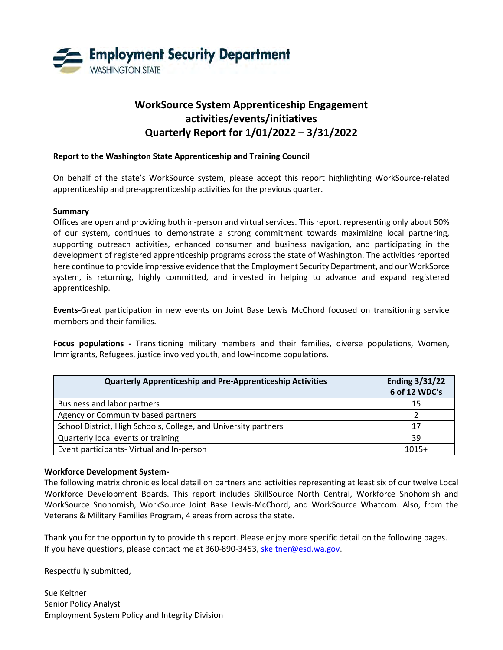

# **WorkSource System Apprenticeship Engagement activities/events/initiatives Quarterly Report for 1/01/2022 – 3/31/2022**

#### **Report to the Washington State Apprenticeship and Training Council**

On behalf of the state's WorkSource system, please accept this report highlighting WorkSource-related apprenticeship and pre-apprenticeship activities for the previous quarter.

#### **Summary**

Offices are open and providing both in-person and virtual services. This report, representing only about 50% of our system, continues to demonstrate a strong commitment towards maximizing local partnering, supporting outreach activities, enhanced consumer and business navigation, and participating in the development of registered apprenticeship programs across the state of Washington. The activities reported here continue to provide impressive evidence that the Employment Security Department, and our WorkSorce system, is returning, highly committed, and invested in helping to advance and expand registered apprenticeship.

**Events-**Great participation in new events on Joint Base Lewis McChord focused on transitioning service members and their families.

**Focus populations -** Transitioning military members and their families, diverse populations, Women, Immigrants, Refugees, justice involved youth, and low-income populations.

| <b>Quarterly Apprenticeship and Pre-Apprenticeship Activities</b> | <b>Ending 3/31/22</b><br>6 of 12 WDC's |
|-------------------------------------------------------------------|----------------------------------------|
| Business and labor partners                                       | 15                                     |
| Agency or Community based partners                                |                                        |
| School District, High Schools, College, and University partners   | 17                                     |
| Quarterly local events or training                                | 39                                     |
| Event participants-Virtual and In-person                          | $1015+$                                |

#### **Workforce Development System-**

The following matrix chronicles local detail on partners and activities representing at least six of our twelve Local Workforce Development Boards. This report includes SkillSource North Central, Workforce Snohomish and WorkSource Snohomish, WorkSource Joint Base Lewis-McChord, and WorkSource Whatcom. Also, from the Veterans & Military Families Program, 4 areas from across the state.

Thank you for the opportunity to provide this report. Please enjoy more specific detail on the following pages. If you have questions, please contact me at 360-890-3453[, skeltner@esd.wa.gov.](mailto:skeltner@esd.wa.gov)

Respectfully submitted,

Sue Keltner Senior Policy Analyst Employment System Policy and Integrity Division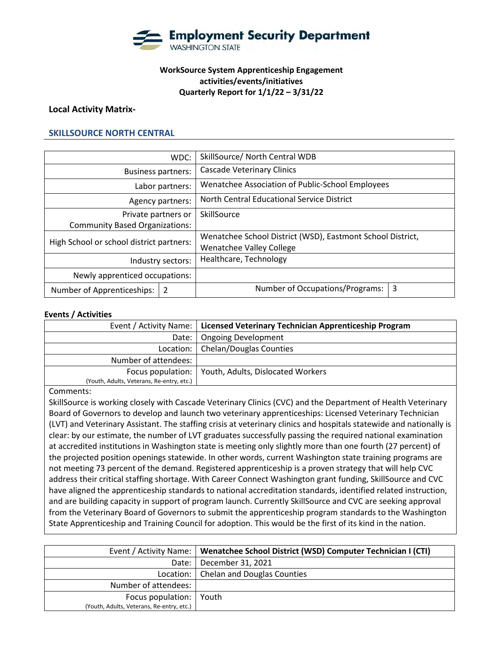

# **WorkSource System Apprenticeship Engagement activities/events/initiatives Quarterly Report for 1/1/22 – 3/31/22**

#### **Local Activity Matrix-**

#### **SKILLSOURCE NORTH CENTRAL**

|                                          | WDC:              | SkillSource/ North Central WDB                             |   |
|------------------------------------------|-------------------|------------------------------------------------------------|---|
| <b>Business partners:</b>                |                   | <b>Cascade Veterinary Clinics</b>                          |   |
| Labor partners:                          |                   | Wenatchee Association of Public-School Employees           |   |
|                                          | Agency partners:  | North Central Educational Service District                 |   |
| Private partners or                      |                   | SkillSource                                                |   |
| <b>Community Based Organizations:</b>    |                   |                                                            |   |
| High School or school district partners: |                   | Wenatchee School District (WSD), Eastmont School District, |   |
|                                          |                   | <b>Wenatchee Valley College</b>                            |   |
|                                          | Industry sectors: | Healthcare, Technology                                     |   |
| Newly apprenticed occupations:           |                   |                                                            |   |
| Number of Apprenticeships:               | 2                 | Number of Occupations/Programs:                            | 3 |

#### **Events / Activities**

|                                           | Event / Activity Name:   Licensed Veterinary Technician Apprenticeship Program |
|-------------------------------------------|--------------------------------------------------------------------------------|
|                                           | Date:   Ongoing Development                                                    |
|                                           | Location:   Chelan/Douglas Counties                                            |
| Number of attendees:                      |                                                                                |
|                                           | Focus population:   Youth, Adults, Dislocated Workers                          |
| (Youth, Adults, Veterans, Re-entry, etc.) |                                                                                |

#### Comments:

SkillSource is working closely with Cascade Veterinary Clinics (CVC) and the Department of Health Veterinary Board of Governors to develop and launch two veterinary apprenticeships: Licensed Veterinary Technician (LVT) and Veterinary Assistant. The staffing crisis at veterinary clinics and hospitals statewide and nationally is clear: by our estimate, the number of LVT graduates successfully passing the required national examination at accredited institutions in Washington state is meeting only slightly more than one fourth (27 percent) of the projected position openings statewide. In other words, current Washington state training programs are not meeting 73 percent of the demand. Registered apprenticeship is a proven strategy that will help CVC address their critical staffing shortage. With Career Connect Washington grant funding, SkillSource and CVC have aligned the apprenticeship standards to national accreditation standards, identified related instruction, and are building capacity in support of program launch. Currently SkillSource and CVC are seeking approval from the Veterinary Board of Governors to submit the apprenticeship program standards to the Washington State Apprenticeship and Training Council for adoption. This would be the first of its kind in the nation.

|                                           | Event / Activity Name:   Wenatchee School District (WSD) Computer Technician I (CTI) |
|-------------------------------------------|--------------------------------------------------------------------------------------|
|                                           | Date:   December 31, 2021                                                            |
|                                           | Location:   Chelan and Douglas Counties                                              |
| Number of attendees:                      |                                                                                      |
| Focus population:   Youth                 |                                                                                      |
| (Youth, Adults, Veterans, Re-entry, etc.) |                                                                                      |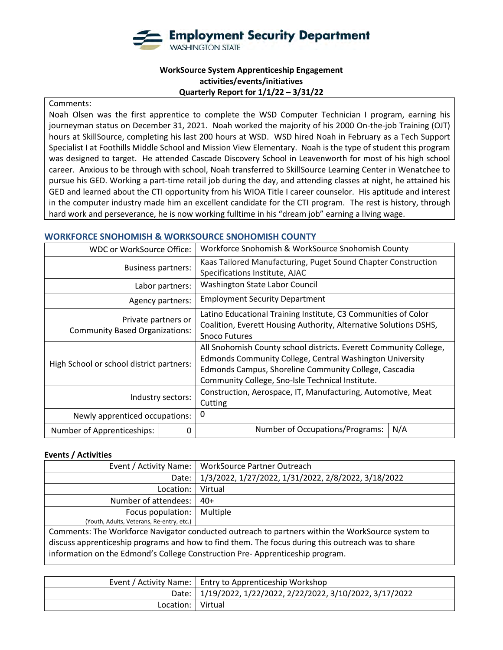

# **WorkSource System Apprenticeship Engagement activities/events/initiatives Quarterly Report for 1/1/22 – 3/31/22**

#### Comments:

Noah Olsen was the first apprentice to complete the WSD Computer Technician I program, earning his journeyman status on December 31, 2021. Noah worked the majority of his 2000 On-the-job Training (OJT) hours at SkillSource, completing his last 200 hours at WSD. WSD hired Noah in February as a Tech Support Specialist I at Foothills Middle School and Mission View Elementary. Noah is the type of student this program was designed to target. He attended Cascade Discovery School in Leavenworth for most of his high school career. Anxious to be through with school, Noah transferred to SkillSource Learning Center in Wenatchee to pursue his GED. Working a part-time retail job during the day, and attending classes at night, he attained his GED and learned about the CTI opportunity from his WIOA Title I career counselor. His aptitude and interest in the computer industry made him an excellent candidate for the CTI program. The rest is history, through hard work and perseverance, he is now working fulltime in his "dream job" earning a living wage.

#### **WORKFORCE SNOHOMISH & WORKSOURCE SNOHOMISH COUNTY**

| WDC or WorkSource Office:                                    |                   | Workforce Snohomish & WorkSource Snohomish County                                                                                                                                                                                          |
|--------------------------------------------------------------|-------------------|--------------------------------------------------------------------------------------------------------------------------------------------------------------------------------------------------------------------------------------------|
| <b>Business partners:</b>                                    |                   | Kaas Tailored Manufacturing, Puget Sound Chapter Construction<br>Specifications Institute, AJAC                                                                                                                                            |
|                                                              | Labor partners:   | Washington State Labor Council                                                                                                                                                                                                             |
|                                                              | Agency partners:  | <b>Employment Security Department</b>                                                                                                                                                                                                      |
| Private partners or<br><b>Community Based Organizations:</b> |                   | Latino Educational Training Institute, C3 Communities of Color<br>Coalition, Everett Housing Authority, Alternative Solutions DSHS,<br><b>Snoco Futures</b>                                                                                |
| High School or school district partners:                     |                   | All Snohomish County school districts. Everett Community College,<br>Edmonds Community College, Central Washington University<br>Edmonds Campus, Shoreline Community College, Cascadia<br>Community College, Sno-Isle Technical Institute. |
|                                                              | Industry sectors: | Construction, Aerospace, IT, Manufacturing, Automotive, Meat<br>Cutting                                                                                                                                                                    |
| Newly apprenticed occupations:                               |                   | 0                                                                                                                                                                                                                                          |
| Number of Apprenticeships:                                   | $\Omega$          | N/A<br>Number of Occupations/Programs:                                                                                                                                                                                                     |

#### **Events / Activities**

| Event / Activity Name:                                                                            | <b>WorkSource Partner Outreach</b>                  |  |
|---------------------------------------------------------------------------------------------------|-----------------------------------------------------|--|
| Date:                                                                                             | 1/3/2022, 1/27/2022, 1/31/2022, 2/8/2022, 3/18/2022 |  |
| Location:                                                                                         | Virtual                                             |  |
| Number of attendees:                                                                              | $40+$                                               |  |
| Focus population:                                                                                 | Multiple                                            |  |
| (Youth, Adults, Veterans, Re-entry, etc.)                                                         |                                                     |  |
| Comments: The Workforce Navigator conducted outreach to partners within the WorkSource system to  |                                                     |  |
| discuss apprenticeship programs and how to find them. The focus during this outreach was to share |                                                     |  |
| information on the Edmond's College Construction Pre-Apprenticeship program.                      |                                                     |  |
|                                                                                                   |                                                     |  |

|                     | Event / Activity Name:   Entry to Apprenticeship Workshop   |
|---------------------|-------------------------------------------------------------|
|                     | Date: 1/19/2022, 1/22/2022, 2/22/2022, 3/10/2022, 3/17/2022 |
| Location:   Virtual |                                                             |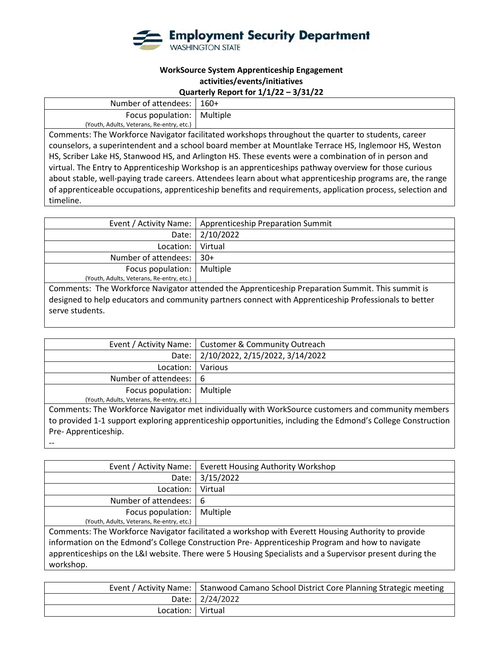

## **Quarterly Report for 1/1/22 – 3/31/22**

| Number of attendees:                                                                                   | $160+$                                                                                                                                                                                                                            |  |
|--------------------------------------------------------------------------------------------------------|-----------------------------------------------------------------------------------------------------------------------------------------------------------------------------------------------------------------------------------|--|
| Focus population:                                                                                      | Multiple                                                                                                                                                                                                                          |  |
| (Youth, Adults, Veterans, Re-entry, etc.)                                                              |                                                                                                                                                                                                                                   |  |
|                                                                                                        | Comments: The Workforce Navigator facilitated workshops throughout the quarter to students, career                                                                                                                                |  |
| counselors, a superintendent and a school board member at Mountlake Terrace HS, Inglemoor HS, Weston   |                                                                                                                                                                                                                                   |  |
| HS, Scriber Lake HS, Stanwood HS, and Arlington HS. These events were a combination of in person and   |                                                                                                                                                                                                                                   |  |
| virtual. The Entry to Apprenticeship Workshop is an apprenticeships pathway overview for those curious |                                                                                                                                                                                                                                   |  |
|                                                                                                        | $\mathbf{1}$ , and the state of the state of the state of the state of the state of the state of the state of the state of the state of the state of the state of the state of the state of the state of the state of the state o |  |

about stable, well-paying trade careers. Attendees learn about what apprenticeship programs are, the range of apprenticeable occupations, apprenticeship benefits and requirements, application process, selection and timeline.

|                                                                                                  | Event / Activity Name:   Apprenticeship Preparation Summit |
|--------------------------------------------------------------------------------------------------|------------------------------------------------------------|
|                                                                                                  | Date: 2/10/2022                                            |
| Location:   Virtual                                                                              |                                                            |
| Number of attendees:                                                                             | $30+$                                                      |
| Focus population:   Multiple                                                                     |                                                            |
| (Youth, Adults, Veterans, Re-entry, etc.)                                                        |                                                            |
| Comments: The Workforce Navigator attended the Apprenticeship Preparation Summit. This summit is |                                                            |

The Workforce Navigator attended the Apprenticeship Preparation Summit. This summit is designed to help educators and community partners connect with Apprenticeship Professionals to better serve students.

|                                           | Event / Activity Name:   Customer & Community Outreach |
|-------------------------------------------|--------------------------------------------------------|
|                                           | Date: 2/10/2022, 2/15/2022, 3/14/2022                  |
| Location:   Various                       |                                                        |
| Number of attendees:   6                  |                                                        |
| Focus population:   Multiple              |                                                        |
| (Youth, Adults, Veterans, Re-entry, etc.) |                                                        |
|                                           |                                                        |

Comments: The Workforce Navigator met individually with WorkSource customers and community members to provided 1-1 support exploring apprenticeship opportunities, including the Edmond's College Construction Pre- Apprenticeship.

--

|                                           | Event / Activity Name:   Everett Housing Authority Workshop |
|-------------------------------------------|-------------------------------------------------------------|
|                                           | Date: 3/15/2022                                             |
| Location:   Virtual                       |                                                             |
| Number of attendees:   6                  |                                                             |
| Focus population:   Multiple              |                                                             |
| (Youth, Adults, Veterans, Re-entry, etc.) |                                                             |

Comments: The Workforce Navigator facilitated a workshop with Everett Housing Authority to provide information on the Edmond's College Construction Pre- Apprenticeship Program and how to navigate apprenticeships on the L&I website. There were 5 Housing Specialists and a Supervisor present during the workshop.

|                     | Event / Activity Name:   Stanwood Camano School District Core Planning Strategic meeting |
|---------------------|------------------------------------------------------------------------------------------|
|                     | Date: 2/24/2022                                                                          |
| Location:   Virtual |                                                                                          |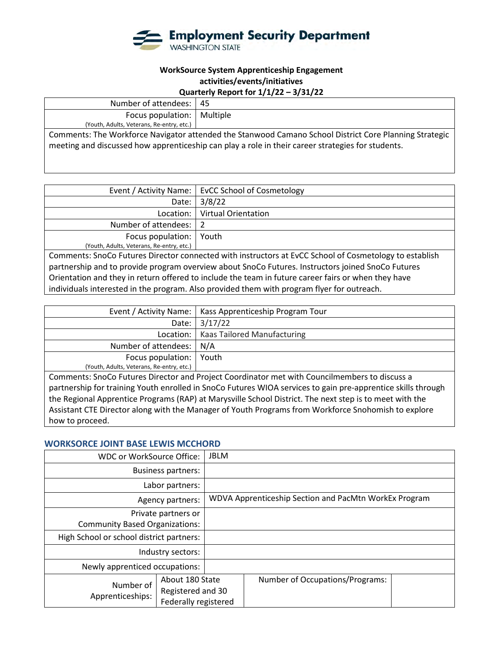

## **Quarterly Report for 1/1/22 – 3/31/22**

| Number of attendees:                                                                                   | -45 |  |
|--------------------------------------------------------------------------------------------------------|-----|--|
| Focus population:   Multiple                                                                           |     |  |
| (Youth, Adults, Veterans, Re-entry, etc.)                                                              |     |  |
| Comments: The Workforce Navigator attended the Stanwood Camano School District Core Planning Strategic |     |  |
| meeting and discussed how apprenticeship can play a role in their career strategies for students.      |     |  |
|                                                                                                        |     |  |

|                                                                                                        | Event / Activity Name:   EvCC School of Cosmetology |  |
|--------------------------------------------------------------------------------------------------------|-----------------------------------------------------|--|
| Date:                                                                                                  | 3/8/22                                              |  |
| Location: I                                                                                            | <b>Virtual Orientation</b>                          |  |
| Number of attendees:   2                                                                               |                                                     |  |
| Focus population:                                                                                      | Youth                                               |  |
| (Youth, Adults, Veterans, Re-entry, etc.)                                                              |                                                     |  |
| Comments: SnoCo Futures Director connected with instructors at EvCC School of Cosmetology to establish |                                                     |  |
| partnership and to provide program overview about SnoCo Futures. Instructors joined SnoCo Futures      |                                                     |  |
| Orientation and they in return offered to include the team in future career fairs or when they have    |                                                     |  |

individuals interested in the program. Also provided them with program flyer for outreach.

|                                           | Event / Activity Name:   Kass Apprenticeship Program Tour |
|-------------------------------------------|-----------------------------------------------------------|
|                                           | Date: 3/17/22                                             |
|                                           | Location:   Kaas Tailored Manufacturing                   |
| Number of attendees:   N/A                |                                                           |
| Focus population:   Youth                 |                                                           |
| (Youth, Adults, Veterans, Re-entry, etc.) |                                                           |

Comments: SnoCo Futures Director and Project Coordinator met with Councilmembers to discuss a partnership for training Youth enrolled in SnoCo Futures WIOA services to gain pre-apprentice skills through the Regional Apprentice Programs (RAP) at Marysville School District. The next step is to meet with the Assistant CTE Director along with the Manager of Youth Programs from Workforce Snohomish to explore how to proceed.

#### **WORKSORCE JOINT BASE LEWIS MCCHORD**

| WDC or WorkSource Office:                |                                                              | <b>JBLM</b>                                           |                                 |  |
|------------------------------------------|--------------------------------------------------------------|-------------------------------------------------------|---------------------------------|--|
| <b>Business partners:</b>                |                                                              |                                                       |                                 |  |
| Labor partners:                          |                                                              |                                                       |                                 |  |
| Agency partners:                         |                                                              | WDVA Apprenticeship Section and PacMtn WorkEx Program |                                 |  |
| Private partners or                      |                                                              |                                                       |                                 |  |
| <b>Community Based Organizations:</b>    |                                                              |                                                       |                                 |  |
| High School or school district partners: |                                                              |                                                       |                                 |  |
| Industry sectors:                        |                                                              |                                                       |                                 |  |
| Newly apprenticed occupations:           |                                                              |                                                       |                                 |  |
| Number of<br>Apprenticeships:            | About 180 State<br>Registered and 30<br>Federally registered |                                                       | Number of Occupations/Programs: |  |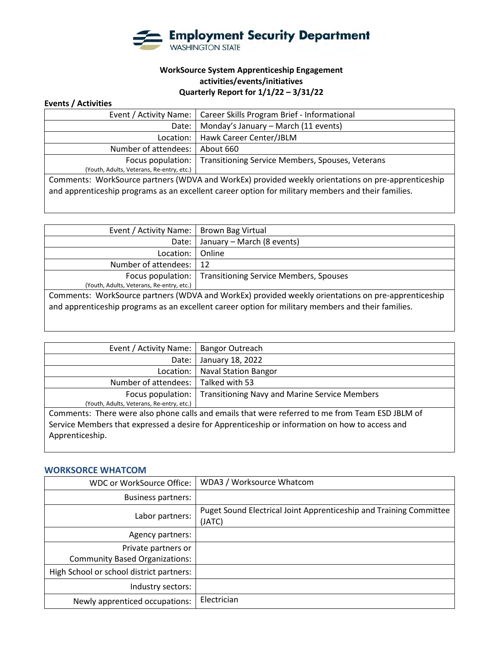

# **WorkSource System Apprenticeship Engagement activities/events/initiatives Quarterly Report for 1/1/22 – 3/31/22**

#### **Events / Activities**

|                                                                                                    | Event / Activity Name:   Career Skills Program Brief - Informational |  |
|----------------------------------------------------------------------------------------------------|----------------------------------------------------------------------|--|
| Date:                                                                                              | Monday's January - March (11 events)                                 |  |
| Location:                                                                                          | Hawk Career Center/JBLM                                              |  |
| Number of attendees:                                                                               | About 660                                                            |  |
| Focus population:                                                                                  | Transitioning Service Members, Spouses, Veterans                     |  |
| (Youth, Adults, Veterans, Re-entry, etc.)                                                          |                                                                      |  |
| Comments: WorkSource partners (WDVA and WorkEx) provided weekly orientations on pre-apprenticeship |                                                                      |  |
| and apprenticeship programs as an excellent career option for military members and their families. |                                                                      |  |
|                                                                                                    |                                                                      |  |

| Event / Activity Name:   Brown Bag Virtual                                                                                                                                                               |                                                            |  |
|----------------------------------------------------------------------------------------------------------------------------------------------------------------------------------------------------------|------------------------------------------------------------|--|
| Date:                                                                                                                                                                                                    | January – March (8 events)                                 |  |
| Location:                                                                                                                                                                                                | Online                                                     |  |
| Number of attendees:                                                                                                                                                                                     | -12                                                        |  |
|                                                                                                                                                                                                          | Focus population:   Transitioning Service Members, Spouses |  |
| (Youth, Adults, Veterans, Re-entry, etc.)                                                                                                                                                                |                                                            |  |
| Comments: WorkSource partners (WDVA and WorkEx) provided weekly orientations on pre-apprenticeship<br>and apprenticeship programs as an excellent career option for military members and their families. |                                                            |  |

| Event / Activity Name:                                                                          | <b>Bangor Outreach</b>                               |  |
|-------------------------------------------------------------------------------------------------|------------------------------------------------------|--|
| Date:                                                                                           | January 18, 2022                                     |  |
| Location:                                                                                       | <b>Naval Station Bangor</b>                          |  |
| Number of attendees:                                                                            | Talked with 53                                       |  |
| Focus population:                                                                               | <b>Transitioning Navy and Marine Service Members</b> |  |
| (Youth, Adults, Veterans, Re-entry, etc.)                                                       |                                                      |  |
| Comments: There were also phone calls and emails that were referred to me from Team ESD JBLM of |                                                      |  |
| Service Members that expressed a desire for Apprenticeship or information on how to access and  |                                                      |  |
| Apprenticeship.                                                                                 |                                                      |  |
|                                                                                                 |                                                      |  |

## **WORKSORCE WHATCOM**

| WDC or WorkSource Office:                | WDA3 / Worksource Whatcom                                                    |
|------------------------------------------|------------------------------------------------------------------------------|
| <b>Business partners:</b>                |                                                                              |
| Labor partners:                          | Puget Sound Electrical Joint Apprenticeship and Training Committee<br>(JATC) |
| Agency partners:                         |                                                                              |
| Private partners or                      |                                                                              |
| <b>Community Based Organizations:</b>    |                                                                              |
| High School or school district partners: |                                                                              |
| Industry sectors:                        |                                                                              |
| Newly apprenticed occupations:           | Electrician                                                                  |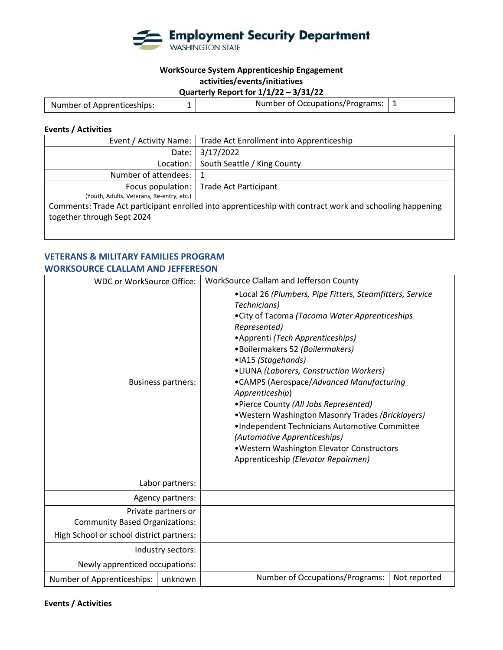

# **Quarterly Report for 1/1/22 – 3/31/22**

| Number of Apprenticeships: | Number of Occupations/Programs: |  |
|----------------------------|---------------------------------|--|
|----------------------------|---------------------------------|--|

# **Events / Activities**

| Event / Activity Name:                                                                                  | Trade Act Enrollment into Apprenticeship  |  |
|---------------------------------------------------------------------------------------------------------|-------------------------------------------|--|
| Date:                                                                                                   | 3/17/2022                                 |  |
| Location:                                                                                               | South Seattle / King County               |  |
| Number of attendees:   1                                                                                |                                           |  |
|                                                                                                         | Focus population:   Trade Act Participant |  |
| (Youth, Adults, Veterans, Re-entry, etc.)                                                               |                                           |  |
| Comments: Trade Act participant enrolled into apprenticeship with contract work and schooling happening |                                           |  |
| together through Sept 2024                                                                              |                                           |  |
|                                                                                                         |                                           |  |
|                                                                                                         |                                           |  |

#### **VETERANS & MILITARY FAMILIES PROGRAM WORKSOURCE CLALLAM AND JEFFERESON**

| <b>WDC or WorkSource Office:</b>                             |         | WorkSource Clallam and Jefferson County                                                                                                                                                                                                                                                                                                                                                                                                                                                                                                                                                                                 |
|--------------------------------------------------------------|---------|-------------------------------------------------------------------------------------------------------------------------------------------------------------------------------------------------------------------------------------------------------------------------------------------------------------------------------------------------------------------------------------------------------------------------------------------------------------------------------------------------------------------------------------------------------------------------------------------------------------------------|
| <b>Business partners:</b>                                    |         | •Local 26 (Plumbers, Pipe Fitters, Steamfitters, Service<br>Technicians)<br>• City of Tacoma (Tacoma Water Apprenticeships<br>Represented)<br>• Apprenti (Tech Apprenticeships)<br>·Boilermakers 52 (Boilermakers)<br>·IA15 (Stagehands)<br>•LIUNA (Laborers, Construction Workers)<br>•CAMPS (Aerospace/Advanced Manufacturing<br>Apprenticeship)<br>• Pierce County (All Jobs Represented)<br>. Western Washington Masonry Trades (Bricklayers)<br>•Independent Technicians Automotive Committee<br>(Automotive Apprenticeships)<br>. Western Washington Elevator Constructors<br>Apprenticeship (Elevator Repairmen) |
| Labor partners:                                              |         |                                                                                                                                                                                                                                                                                                                                                                                                                                                                                                                                                                                                                         |
| Agency partners:                                             |         |                                                                                                                                                                                                                                                                                                                                                                                                                                                                                                                                                                                                                         |
| Private partners or<br><b>Community Based Organizations:</b> |         |                                                                                                                                                                                                                                                                                                                                                                                                                                                                                                                                                                                                                         |
| High School or school district partners:                     |         |                                                                                                                                                                                                                                                                                                                                                                                                                                                                                                                                                                                                                         |
| Industry sectors:                                            |         |                                                                                                                                                                                                                                                                                                                                                                                                                                                                                                                                                                                                                         |
| Newly apprenticed occupations:                               |         |                                                                                                                                                                                                                                                                                                                                                                                                                                                                                                                                                                                                                         |
| Number of Apprenticeships:                                   | unknown | Number of Occupations/Programs:<br>Not reported                                                                                                                                                                                                                                                                                                                                                                                                                                                                                                                                                                         |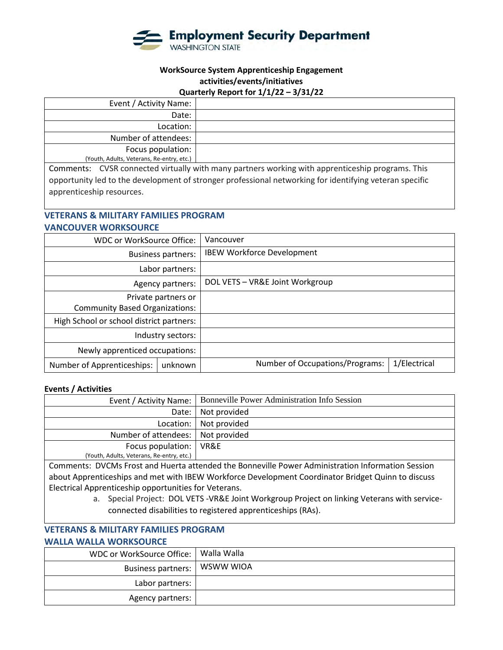

## **Quarterly Report for 1/1/22 – 3/31/22**

| Event / Activity Name:                    |                                                                                                  |
|-------------------------------------------|--------------------------------------------------------------------------------------------------|
| Date:                                     |                                                                                                  |
| Location:                                 |                                                                                                  |
| Number of attendees:                      |                                                                                                  |
| Focus population:                         |                                                                                                  |
| (Youth, Adults, Veterans, Re-entry, etc.) |                                                                                                  |
|                                           | Comments: CVSR connected virtually with many partners working with annrenticeship programs. This |

Comments: CVSR connected virtually with many partners working with apprenticeship programs. This opportunity led to the development of stronger professional networking for identifying veteran specific apprenticeship resources.

# **VETERANS & MILITARY FAMILIES PROGRAM**

#### **VANCOUVER WORKSOURCE**

| WDC or WorkSource Office:                |         | Vancouver                         |              |
|------------------------------------------|---------|-----------------------------------|--------------|
| <b>Business partners:</b>                |         | <b>IBEW Workforce Development</b> |              |
| Labor partners:                          |         |                                   |              |
| Agency partners:                         |         | DOL VETS - VR&E Joint Workgroup   |              |
| Private partners or                      |         |                                   |              |
| <b>Community Based Organizations:</b>    |         |                                   |              |
| High School or school district partners: |         |                                   |              |
| Industry sectors:                        |         |                                   |              |
| Newly apprenticed occupations:           |         |                                   |              |
| Number of Apprenticeships:               | unknown | Number of Occupations/Programs:   | 1/Electrical |

#### **Events / Activities**

|                                           | Event / Activity Name:   Bonneville Power Administration Info Session |
|-------------------------------------------|-----------------------------------------------------------------------|
|                                           | Date:   Not provided                                                  |
|                                           | Location:   Not provided                                              |
| Number of attendees:   Not provided       |                                                                       |
| Focus population:   VR&E                  |                                                                       |
| (Youth, Adults, Veterans, Re-entry, etc.) |                                                                       |

Comments: DVCMs Frost and Huerta attended the Bonneville Power Administration Information Session about Apprenticeships and met with IBEW Workforce Development Coordinator Bridget Quinn to discuss Electrical Apprenticeship opportunities for Veterans.

> a. Special Project: DOL VETS -VR&E Joint Workgroup Project on linking Veterans with serviceconnected disabilities to registered apprenticeships (RAs).

# **VETERANS & MILITARY FAMILIES PROGRAM**

# **WALLA WALLA WORKSOURCE**

| WDC or WorkSource Office:      | Walla Walla |
|--------------------------------|-------------|
| Business partners:   WSWW WIOA |             |
| Labor partners:                |             |
| Agency partners:               |             |